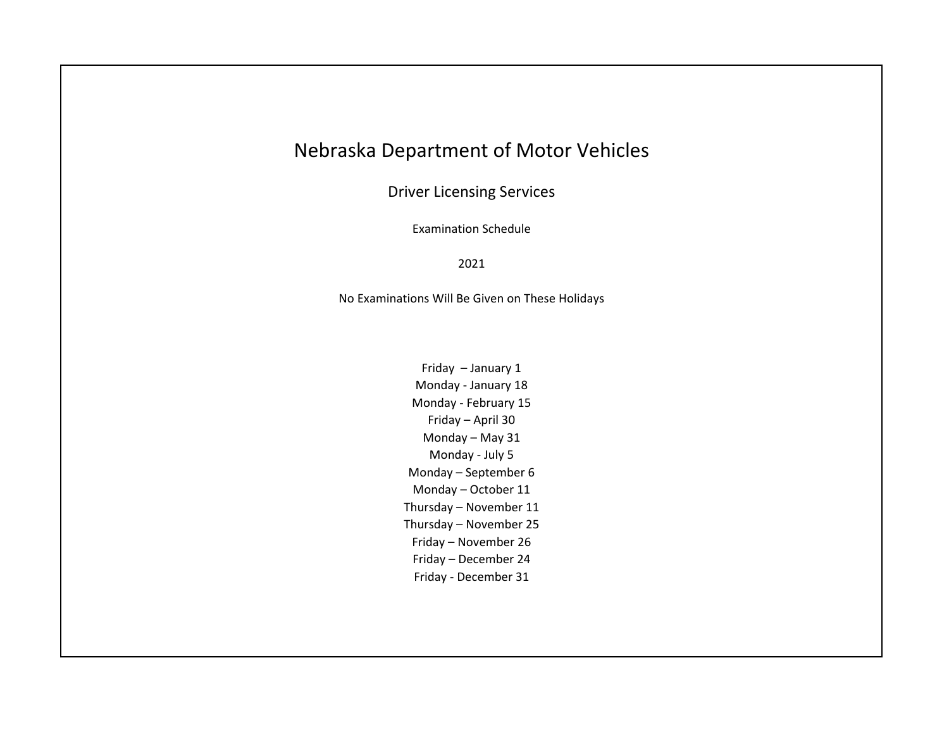## Nebraska Department of Motor Vehicles

Driver Licensing Services

Examination Schedule

## 2021

No Examinations Will Be Given on These Holidays

Friday – January 1 Monday - January 18 Monday - February 15 Friday – April 30 Monday – May 31 Monday - July 5 Monday – September 6 Monday – October 11 Thursday – November 11 Thursday – November 25 Friday – November 26 Friday – December 24 Friday - December 31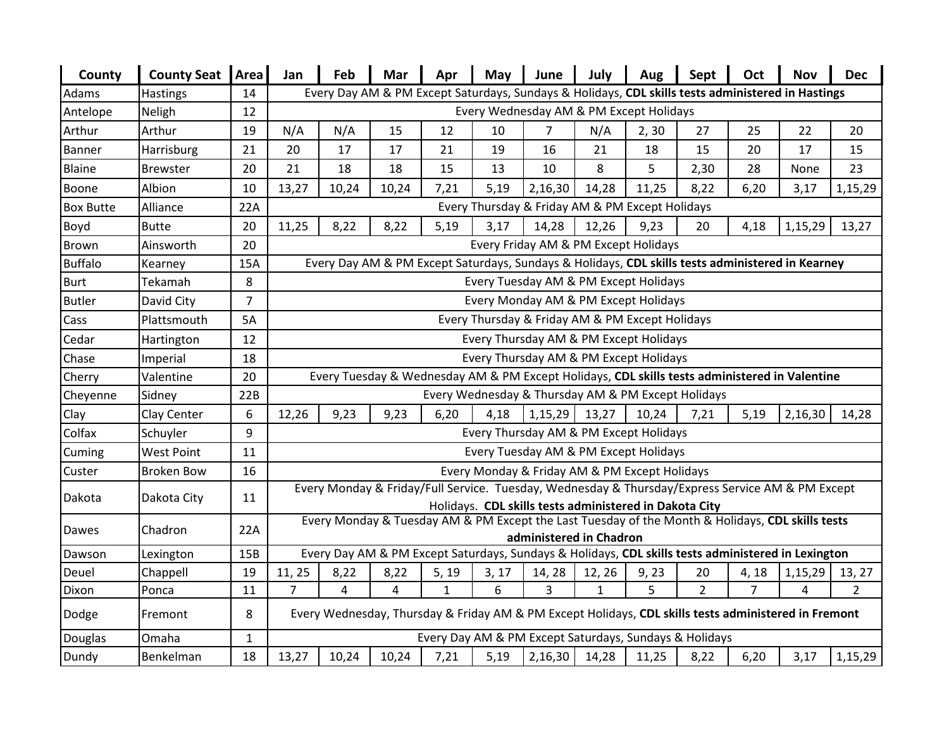| County           | <b>County Seat</b> | Area           | Jan                                                                                                                                                        | Feb                                                                                              | Mar   | Apr          | May   | June                                               | July         | Aug   | Sept           | Oct            | <b>Nov</b>                                                                                         | <b>Dec</b>     |
|------------------|--------------------|----------------|------------------------------------------------------------------------------------------------------------------------------------------------------------|--------------------------------------------------------------------------------------------------|-------|--------------|-------|----------------------------------------------------|--------------|-------|----------------|----------------|----------------------------------------------------------------------------------------------------|----------------|
| Adams            | <b>Hastings</b>    | 14             | Every Day AM & PM Except Saturdays, Sundays & Holidays, CDL skills tests administered in Hastings                                                          |                                                                                                  |       |              |       |                                                    |              |       |                |                |                                                                                                    |                |
| Antelope         | Neligh             | 12             | Every Wednesday AM & PM Except Holidays                                                                                                                    |                                                                                                  |       |              |       |                                                    |              |       |                |                |                                                                                                    |                |
| Arthur           | Arthur             | 19             | N/A                                                                                                                                                        | N/A                                                                                              | 15    | 12           | 10    | 7                                                  | N/A          | 2, 30 | 27             | 25             | 22                                                                                                 | 20             |
| <b>Banner</b>    | Harrisburg         | 21             | 20                                                                                                                                                         | 17                                                                                               | 17    | 21           | 19    | 16                                                 | 21           | 18    | 15             | 20             | 17                                                                                                 | 15             |
| Blaine           | <b>Brewster</b>    | 20             | 21                                                                                                                                                         | 18                                                                                               | 18    | 15           | 13    | 10                                                 | 8            | 5     | 2,30           | 28             | None                                                                                               | 23             |
| Boone            | Albion             | 10             | 13,27                                                                                                                                                      | 10,24                                                                                            | 10,24 | 7,21         | 5,19  | 2,16,30                                            | 14,28        | 11,25 | 8,22           | 6,20           | 3,17                                                                                               | 1,15,29        |
| <b>Box Butte</b> | Alliance           | 22A            |                                                                                                                                                            | Every Thursday & Friday AM & PM Except Holidays                                                  |       |              |       |                                                    |              |       |                |                |                                                                                                    |                |
| Boyd             | <b>Butte</b>       | 20             | 11,25                                                                                                                                                      | 8,22                                                                                             | 8,22  | 5,19         | 3,17  | 14,28                                              | 12,26        | 9,23  | 20             | 4,18           | 1,15,29                                                                                            | 13,27          |
| Brown            | Ainsworth          | 20             |                                                                                                                                                            | Every Friday AM & PM Except Holidays                                                             |       |              |       |                                                    |              |       |                |                |                                                                                                    |                |
| <b>Buffalo</b>   | Kearney            | 15A            |                                                                                                                                                            | Every Day AM & PM Except Saturdays, Sundays & Holidays, CDL skills tests administered in Kearney |       |              |       |                                                    |              |       |                |                |                                                                                                    |                |
| <b>Burt</b>      | Tekamah            | 8              |                                                                                                                                                            | Every Tuesday AM & PM Except Holidays                                                            |       |              |       |                                                    |              |       |                |                |                                                                                                    |                |
| <b>Butler</b>    | David City         | $\overline{7}$ |                                                                                                                                                            | Every Monday AM & PM Except Holidays                                                             |       |              |       |                                                    |              |       |                |                |                                                                                                    |                |
| Cass             | Plattsmouth        | <b>5A</b>      |                                                                                                                                                            | Every Thursday & Friday AM & PM Except Holidays                                                  |       |              |       |                                                    |              |       |                |                |                                                                                                    |                |
| Cedar            | Hartington         | 12             |                                                                                                                                                            | Every Thursday AM & PM Except Holidays                                                           |       |              |       |                                                    |              |       |                |                |                                                                                                    |                |
| Chase            | Imperial           | 18             |                                                                                                                                                            | Every Thursday AM & PM Except Holidays                                                           |       |              |       |                                                    |              |       |                |                |                                                                                                    |                |
| Cherry           | Valentine          | 20             |                                                                                                                                                            |                                                                                                  |       |              |       |                                                    |              |       |                |                | Every Tuesday & Wednesday AM & PM Except Holidays, CDL skills tests administered in Valentine      |                |
| Cheyenne         | Sidney             | 22B            |                                                                                                                                                            |                                                                                                  |       |              |       | Every Wednesday & Thursday AM & PM Except Holidays |              |       |                |                |                                                                                                    |                |
| Clay             | Clay Center        | 6              | 12,26                                                                                                                                                      | 9,23                                                                                             | 9,23  | 6,20         | 4,18  | 1,15,29                                            | 13,27        | 10,24 | 7,21           | 5,19           | 2,16,30                                                                                            | 14,28          |
| Colfax           | Schuyler           | 9              |                                                                                                                                                            |                                                                                                  |       |              |       | Every Thursday AM & PM Except Holidays             |              |       |                |                |                                                                                                    |                |
| Cuming           | <b>West Point</b>  | 11             |                                                                                                                                                            |                                                                                                  |       |              |       | Every Tuesday AM & PM Except Holidays              |              |       |                |                |                                                                                                    |                |
| Custer           | <b>Broken Bow</b>  | 16             |                                                                                                                                                            |                                                                                                  |       |              |       | Every Monday & Friday AM & PM Except Holidays      |              |       |                |                |                                                                                                    |                |
| Dakota           | Dakota City        | 11             | Every Monday & Friday/Full Service. Tuesday, Wednesday & Thursday/Express Service AM & PM Except                                                           |                                                                                                  |       |              |       |                                                    |              |       |                |                |                                                                                                    |                |
|                  |                    |                | Holidays. CDL skills tests administered in Dakota City<br>Every Monday & Tuesday AM & PM Except the Last Tuesday of the Month & Holidays, CDL skills tests |                                                                                                  |       |              |       |                                                    |              |       |                |                |                                                                                                    |                |
| Dawes            | Chadron            | 22A            |                                                                                                                                                            |                                                                                                  |       |              |       | administered in Chadron                            |              |       |                |                |                                                                                                    |                |
| Dawson           | Lexington          | 15B            |                                                                                                                                                            |                                                                                                  |       |              |       |                                                    |              |       |                |                | Every Day AM & PM Except Saturdays, Sundays & Holidays, CDL skills tests administered in Lexington |                |
| Deuel            | Chappell           | 19             | 11, 25                                                                                                                                                     | 8,22                                                                                             | 8,22  | 5, 19        | 3, 17 | 14, 28                                             | 12, 26       | 9,23  | 20             | 4, 18          | 1,15,29                                                                                            | 13, 27         |
| Dixon            | Ponca              | 11             | $\overline{7}$                                                                                                                                             | 4                                                                                                | 4     | $\mathbf{1}$ | 6     | 3                                                  | $\mathbf{1}$ | 5     | $\overline{2}$ | $\overline{7}$ | 4                                                                                                  | $\overline{2}$ |
| Dodge            | Fremont            | 8              | Every Wednesday, Thursday & Friday AM & PM Except Holidays, CDL skills tests administered in Fremont                                                       |                                                                                                  |       |              |       |                                                    |              |       |                |                |                                                                                                    |                |
| Douglas          | Omaha              | $\mathbf{1}$   |                                                                                                                                                            | Every Day AM & PM Except Saturdays, Sundays & Holidays                                           |       |              |       |                                                    |              |       |                |                |                                                                                                    |                |
| Dundy            | Benkelman          | 18             | 13,27                                                                                                                                                      | 10,24                                                                                            | 10,24 | 7,21         | 5,19  | 2,16,30                                            | 14,28        | 11,25 | 8,22           | 6,20           | 3,17                                                                                               | 1,15,29        |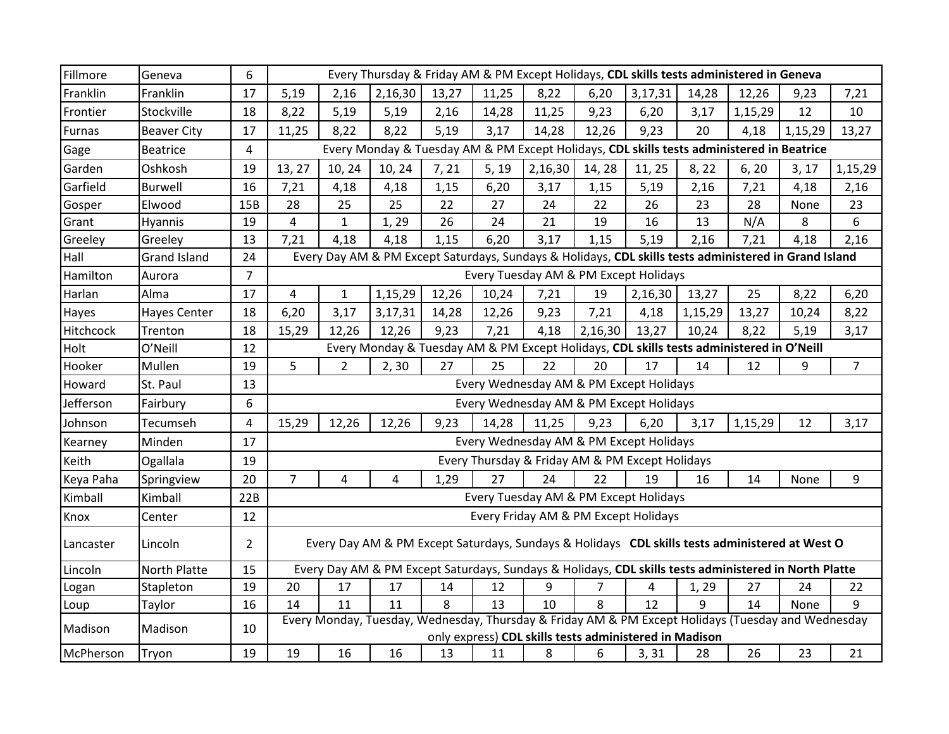| Fillmore      | Geneva              | 6              | Every Thursday & Friday AM & PM Except Holidays, CDL skills tests administered in Geneva              |                                                                                                    |                                                                                                       |       |       |         |         |                                                        |         |         |         |                |
|---------------|---------------------|----------------|-------------------------------------------------------------------------------------------------------|----------------------------------------------------------------------------------------------------|-------------------------------------------------------------------------------------------------------|-------|-------|---------|---------|--------------------------------------------------------|---------|---------|---------|----------------|
| Franklin      | Franklin            | 17             | 5,19                                                                                                  | 2,16                                                                                               | 2,16,30                                                                                               | 13,27 | 11,25 | 8,22    | 6,20    | 3,17,31                                                | 14,28   | 12,26   | 9,23    | 7,21           |
| Frontier      | Stockville          | 18             | 8,22                                                                                                  | 5,19                                                                                               | 5,19                                                                                                  | 2,16  | 14,28 | 11,25   | 9,23    | 6,20                                                   | 3,17    | 1,15,29 | 12      | 10             |
| <b>Furnas</b> | <b>Beaver City</b>  | 17             | 11,25                                                                                                 | 8,22                                                                                               | 8,22                                                                                                  | 5,19  | 3,17  | 14,28   | 12,26   | 9,23                                                   | 20      | 4,18    | 1,15,29 | 13,27          |
| Gage          | <b>Beatrice</b>     | 4              |                                                                                                       | Every Monday & Tuesday AM & PM Except Holidays, CDL skills tests administered in Beatrice          |                                                                                                       |       |       |         |         |                                                        |         |         |         |                |
| Garden        | Oshkosh             | 19             | 13, 27                                                                                                | 10, 24                                                                                             | 10, 24                                                                                                | 7, 21 | 5, 19 | 2,16,30 | 14, 28  | 11, 25                                                 | 8, 22   | 6, 20   | 3, 17   | 1,15,29        |
| Garfield      | <b>Burwell</b>      | 16             | 7,21                                                                                                  | 4,18                                                                                               | 4,18                                                                                                  | 1,15  | 6,20  | 3,17    | 1,15    | 5,19                                                   | 2,16    | 7,21    | 4,18    | 2,16           |
| Gosper        | Elwood              | 15B            | 28                                                                                                    | 25                                                                                                 | 25                                                                                                    | 22    | 27    | 24      | 22      | 26                                                     | 23      | 28      | None    | 23             |
| Grant         | <b>Hyannis</b>      | 19             | $\overline{4}$                                                                                        | $\mathbf{1}$                                                                                       | 1,29                                                                                                  | 26    | 24    | 21      | 19      | 16                                                     | 13      | N/A     | 8       | 6              |
| Greeley       | Greeley             | 13             | 7,21                                                                                                  | 4,18                                                                                               | 4,18                                                                                                  | 1,15  | 6,20  | 3,17    | 1,15    | 5,19                                                   | 2,16    | 7,21    | 4,18    | 2,16           |
| Hall          | <b>Grand Island</b> | 24             | Every Day AM & PM Except Saturdays, Sundays & Holidays, CDL skills tests administered in Grand Island |                                                                                                    |                                                                                                       |       |       |         |         |                                                        |         |         |         |                |
| Hamilton      | Aurora              | $\overline{7}$ |                                                                                                       | Every Tuesday AM & PM Except Holidays                                                              |                                                                                                       |       |       |         |         |                                                        |         |         |         |                |
| Harlan        | Alma                | 17             | 4                                                                                                     | $\mathbf{1}$                                                                                       | 1,15,29                                                                                               | 12,26 | 10,24 | 7,21    | 19      | 2,16,30                                                | 13,27   | 25      | 8,22    | 6,20           |
| Hayes         | <b>Hayes Center</b> | 18             | 6,20                                                                                                  | 3,17                                                                                               | 3,17,31                                                                                               | 14,28 | 12,26 | 9,23    | 7,21    | 4,18                                                   | 1,15,29 | 13,27   | 10,24   | 8,22           |
| Hitchcock     | Trenton             | 18             | 15,29                                                                                                 | 12,26                                                                                              | 12,26                                                                                                 | 9,23  | 7,21  | 4,18    | 2,16,30 | 13,27                                                  | 10,24   | 8,22    | 5,19    | 3,17           |
| Holt          | O'Neill             | 12             | Every Monday & Tuesday AM & PM Except Holidays, CDL skills tests administered in O'Neill              |                                                                                                    |                                                                                                       |       |       |         |         |                                                        |         |         |         |                |
| Hooker        | Mullen              | 19             | 5                                                                                                     | $\overline{2}$                                                                                     | 2, 30                                                                                                 | 27    | 25    | 22      | 20      | 17                                                     | 14      | 12      | 9       | $\overline{7}$ |
| Howard        | St. Paul            | 13             | Every Wednesday AM & PM Except Holidays                                                               |                                                                                                    |                                                                                                       |       |       |         |         |                                                        |         |         |         |                |
| Jefferson     | Fairbury            | 6              |                                                                                                       |                                                                                                    |                                                                                                       |       |       |         |         | Every Wednesday AM & PM Except Holidays                |         |         |         |                |
| Johnson       | Tecumseh            | $\overline{4}$ | 15,29                                                                                                 | 12,26                                                                                              | 12,26                                                                                                 | 9,23  | 14,28 | 11,25   | 9,23    | 6,20                                                   | 3,17    | 1,15,29 | 12      | 3,17           |
| Kearney       | Minden              | 17             |                                                                                                       |                                                                                                    |                                                                                                       |       |       |         |         | Every Wednesday AM & PM Except Holidays                |         |         |         |                |
| Keith         | Ogallala            | 19             |                                                                                                       |                                                                                                    |                                                                                                       |       |       |         |         | Every Thursday & Friday AM & PM Except Holidays        |         |         |         |                |
| Keya Paha     | Springview          | 20             | $\overline{7}$                                                                                        | 4                                                                                                  | 4                                                                                                     | 1,29  | 27    | 24      | 22      | 19                                                     | 16      | 14      | None    | 9              |
| Kimball       | Kimball             | 22B            | Every Tuesday AM & PM Except Holidays                                                                 |                                                                                                    |                                                                                                       |       |       |         |         |                                                        |         |         |         |                |
| Knox          | Center              | 12             | Every Friday AM & PM Except Holidays                                                                  |                                                                                                    |                                                                                                       |       |       |         |         |                                                        |         |         |         |                |
| Lancaster     | Lincoln             | $\overline{2}$ | Every Day AM & PM Except Saturdays, Sundays & Holidays CDL skills tests administered at West O        |                                                                                                    |                                                                                                       |       |       |         |         |                                                        |         |         |         |                |
| Lincoln       | North Platte        | 15             |                                                                                                       |                                                                                                    | Every Day AM & PM Except Saturdays, Sundays & Holidays, CDL skills tests administered in North Platte |       |       |         |         |                                                        |         |         |         |                |
| Logan         | Stapleton           | 19             | 20                                                                                                    | 17                                                                                                 | 17                                                                                                    | 14    | 12    | 9       | 7       | 4                                                      | 1, 29   | 27      | 24      | 22             |
| Loup          | Taylor              | 16             | 14                                                                                                    | 11                                                                                                 | 11                                                                                                    | 8     | 13    | 10      | 8       | 12                                                     | 9       | 14      | None    | 9              |
| Madison       | Madison             | 10             |                                                                                                       | Every Monday, Tuesday, Wednesday, Thursday & Friday AM & PM Except Holidays (Tuesday and Wednesday |                                                                                                       |       |       |         |         |                                                        |         |         |         |                |
|               |                     |                |                                                                                                       |                                                                                                    |                                                                                                       |       |       |         |         | only express) CDL skills tests administered in Madison |         |         |         |                |
| McPherson     | Tryon               | 19             | 19                                                                                                    | 16                                                                                                 | 16                                                                                                    | 13    | 11    | 8       | 6       | 3, 31                                                  | 28      | 26      | 23      | 21             |